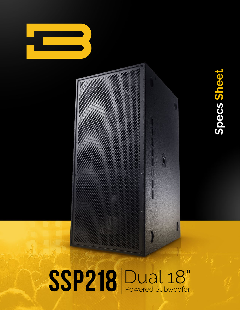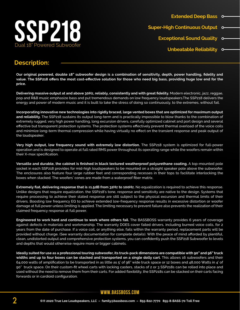

### **Description:**

**Our original powered, double 18" subwoofer design is a combination of sensitivity, depth, power handling, fidelity and value. The SSP218 offers the most cost-effective solution for those who need big bass, providing huge low end for the price.**

**Delivering massive output at and above 30Hz, reliably, consistently and with great fidelity.** Modern electronic, jazz, reggae, pop and R&B music emphasize bass and put tremendous demands on low frequency loudspeakers.The SSP218 delivers the energy and power of modern music and it is built to take the stress of doing so continuously, to the extremes, without fail.

**Incorporating innovative new technologies into rigidly braced, large vented boxes that are optimized for maximum output and reliability.** The SSP218 sustains its output long-term and is practically impossible to blow thanks to the combination of extremely rugged, very high power handling, long excursion drivers, carefully optimized cabinet and port design and several effective but transparent protection systems. The protection systems effectively prevent thermal overload of the voice coils and minimize long-term thermal compression while having virtually no effect on the transient response and peak output of the loudspeaker.

**Very high output, low frequency sound with extremely low distortion.** The SSP218 system is optimized for full-power operation and is designed to operate at full rated RMS power throughout its operating range while the woofers remain within their X-max specification.

**Versatile and durable, the cabinet is finished in black textured weatherproof polyurethane coating.** A top-mounted pole socket in each SSP218 provides for mid-high loudspeakers to be mounted on a straight speaker pole above the subwoofer. The enclosures also feature four large rubber feet and corresponding recesses in their tops to facilitate interlocking the boxes when stacked. The woofers' cones are made from a waterproof fiber matrix.

**Extremely flat, delivering response that is ±1.5dB from 32Hz to 100Hz.** No equalization is required to achieve this response. Unlike designs that require equalization, the SSP218's tone, response and sensitivity are native to the design. Systems that require processing to achieve their stated response are still subject to the physical excursion and thermal limits of their drivers. Boosting low frequency EQ to achieve extended low-frequency response results in excessive distortion or woofer damage at full power unless limiting is applied. The limiting necessary to prevent failure also prevents the realization of their claimed frequency response at full power.

**Engineered to work hard and continue to work where others fail.** The BASSBOSS warranty provides 6 years of coverage against defects in materials and workmanship. The warranty DOES cover failed drivers, including burned voice coils, for 2 years from the date of purchase. If a voice coil, or anything else, fails within the warranty period, replacement parts will be provided without charge. (See warranty documentation for complete details). With the peace of mind afforded by plentiful, clean, undistorted output and comprehensive protection systems, you can confidently push the SSP218 Subwoofer to levels and depths that would otherwise require more or bigger cabinets.

**Ideally suited for use as a professional touring subwoofer, its truck-pack dimensions are compatible with 90" and 96" truck widths and up to four boxes can be stacked and transported on a single dolly cart.** This allows 16 subwoofers and their 64,000 watts of amplification to be transported in as little as 5' of 96" wide truck space or 12 boxes and 48,000 Watts in 4' of 90" truck space. On their custom-fit wheel carts with locking casters, stacks of 2 or 3 SSP218s can be rolled into place and used without the need to remove them from their carts. For added flexibility, the SSP218s can be stacked on their carts facing forwards or in cardioid configuration.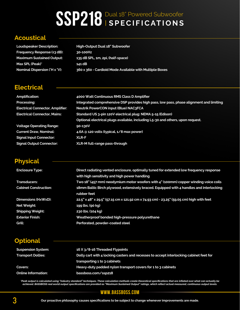# SSP218 Dual 18" Powered Subwoofer

## **Acoustical**

**Loudspeaker Description: High-Output Dual 18" Subwoofer Frequency Response (±3 dB): 30-100Hz Maximum Sustained Output: 135 dB SPL, 1m, 2pi, (half-space) Max SPL (Peak)\* 141 dB Nominal Dispersion (°H x °V): 360 x 360 - Cardioid Mode Available with Multiple Boxes**

## **Electrical**

| <b>Amplification:</b>                   | 4000 Watt Continuous RMS Class D Amplifier                                              |  |
|-----------------------------------------|-----------------------------------------------------------------------------------------|--|
| Processing:                             | Integrated comprehensive DSP provides high pass, low pass, phase alignment and limiting |  |
| <b>Electrical Connector, Amplifier:</b> | Neutrik PowerCON input (Blue) NAC3FCA                                                   |  |
| <b>Electrical Connector, Mains:</b>     | Standard US 3-pin 120V electrical plug: NEMA 5-15 (Edison)                              |  |
|                                         | Optional electrical plugs available, including L5-30 and others, upon request.          |  |
| <b>Voltage Operating Range:</b>         | 90-130V                                                                                 |  |
| <b>Current Draw, Nominal:</b>           | 4.6A @ 120 volts (typical, 1/8 max power)                                               |  |
| <b>Signal Input Connector:</b>          | <b>XLR-F</b>                                                                            |  |
| <b>Signal Output Connector:</b>         | XLR-M full-range pass-through                                                           |  |

# **Physical**

| <b>Enclosure Type:</b>       | Direct radiating vented enclosure, optimally tuned for extended low frequency response<br>with high sensitivity and high power handling |  |
|------------------------------|-----------------------------------------------------------------------------------------------------------------------------------------|--|
| <b>Transducers:</b>          | Two 18" (457 mm) neodymium motor woofers with 4" (100mm) copper winding voice coils                                                     |  |
| <b>Cabinet Construction:</b> | 18mm Baltic Birch plywood, extensively braced. Equipped with 4 handles and interlocking<br>rubber feet                                  |  |
| Dimensions (HxWxD):          | 22.5" x 48" x 29.5" (57.15 cm x 121.92 cm x 74.93 cm) - 23.25" (59.05 cm) high with feet                                                |  |
| Net Weight:                  | 199 lbs. (90 kg)                                                                                                                        |  |
| <b>Shipping Weight:</b>      | 230 lbs. (104 kg)                                                                                                                       |  |
| <b>Exterior Finish:</b>      | Weatherproof bonded high-pressure polyurethane                                                                                          |  |
| Grill:                       | Perforated, powder-coated steel                                                                                                         |  |

|  |  | i Io | ٢ |  |  |
|--|--|------|---|--|--|
|--|--|------|---|--|--|

| <b>Suspension System:</b>  | 16 X 3/8-16 Threaded Flypoints                                                         |  |
|----------------------------|----------------------------------------------------------------------------------------|--|
| <b>Transport Dollies:</b>  | Dolly cart with 4 locking casters and recesses to accept interlocking cabinet feet for |  |
|                            | transporting 1 to 3 cabinets                                                           |  |
| Covers:                    | Heavy-duty padded nylon transport covers for 1 to 3 cabinets                           |  |
| <b>Online Information:</b> | bassboss.com/ssp218                                                                    |  |

"Peak output is calculated using "industry standard" techniques. These calculation methods create theoretical specifications that are inflated over what can actually be<br>achieved. BASSBOSS real world output specifications a

#### **www.bassboss.com**